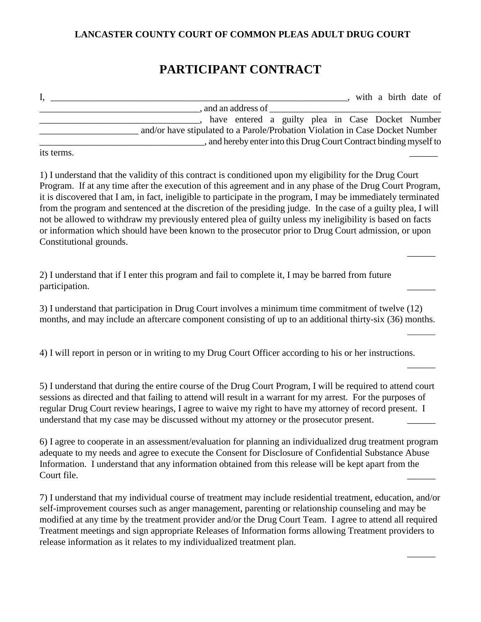## **LANCASTER COUNTY COURT OF COMMON PLEAS ADULT DRUG COURT**

## **PARTICIPANT CONTRACT**

|            | with a birth date of                                                         |
|------------|------------------------------------------------------------------------------|
|            | and an address of                                                            |
|            | have entered a guilty plea in Case Docket Number                             |
|            | and/or have stipulated to a Parole/Probation Violation in Case Docket Number |
|            | , and hereby enter into this Drug Court Contract binding myself to           |
| its terms. |                                                                              |

1) I understand that the validity of this contract is conditioned upon my eligibility for the Drug Court Program. If at any time after the execution of this agreement and in any phase of the Drug Court Program, it is discovered that I am, in fact, ineligible to participate in the program, I may be immediately terminated from the program and sentenced at the discretion of the presiding judge. In the case of a guilty plea, I will not be allowed to withdraw my previously entered plea of guilty unless my ineligibility is based on facts or information which should have been known to the prosecutor prior to Drug Court admission, or upon Constitutional grounds.

 $\overline{\phantom{a}}$ 

 $\overline{a}$ 

 $\overline{\phantom{a}}$ 

 $\overline{\phantom{a}}$ 

2) I understand that if I enter this program and fail to complete it, I may be barred from future participation.

3) I understand that participation in Drug Court involves a minimum time commitment of twelve (12) months, and may include an aftercare component consisting of up to an additional thirty-six (36) months.

4) I will report in person or in writing to my Drug Court Officer according to his or her instructions.

5) I understand that during the entire course of the Drug Court Program, I will be required to attend court sessions as directed and that failing to attend will result in a warrant for my arrest. For the purposes of regular Drug Court review hearings, I agree to waive my right to have my attorney of record present. I understand that my case may be discussed without my attorney or the prosecutor present.

6) I agree to cooperate in an assessment/evaluation for planning an individualized drug treatment program adequate to my needs and agree to execute the Consent for Disclosure of Confidential Substance Abuse Information. I understand that any information obtained from this release will be kept apart from the Court file.

7) I understand that my individual course of treatment may include residential treatment, education, and/or self-improvement courses such as anger management, parenting or relationship counseling and may be modified at any time by the treatment provider and/or the Drug Court Team. I agree to attend all required Treatment meetings and sign appropriate Releases of Information forms allowing Treatment providers to release information as it relates to my individualized treatment plan.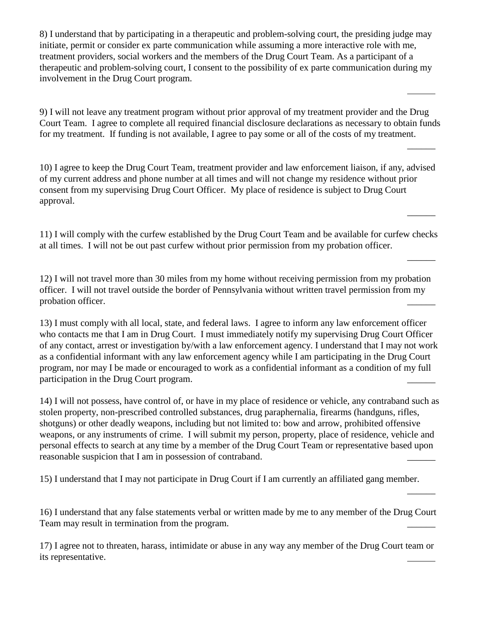8) I understand that by participating in a therapeutic and problem-solving court, the presiding judge may initiate, permit or consider ex parte communication while assuming a more interactive role with me, treatment providers, social workers and the members of the Drug Court Team. As a participant of a therapeutic and problem-solving court, I consent to the possibility of ex parte communication during my involvement in the Drug Court program.

9) I will not leave any treatment program without prior approval of my treatment provider and the Drug Court Team. I agree to complete all required financial disclosure declarations as necessary to obtain funds for my treatment. If funding is not available, I agree to pay some or all of the costs of my treatment.

 $\overline{\phantom{a}}$ 

 $\overline{\phantom{a}}$ 

 $\overline{\phantom{a}}$ 

 $\overline{\phantom{a}}$ 

10) I agree to keep the Drug Court Team, treatment provider and law enforcement liaison, if any, advised of my current address and phone number at all times and will not change my residence without prior consent from my supervising Drug Court Officer. My place of residence is subject to Drug Court approval.

11) I will comply with the curfew established by the Drug Court Team and be available for curfew checks at all times. I will not be out past curfew without prior permission from my probation officer.

12) I will not travel more than 30 miles from my home without receiving permission from my probation officer. I will not travel outside the border of Pennsylvania without written travel permission from my probation officer.

13) I must comply with all local, state, and federal laws. I agree to inform any law enforcement officer who contacts me that I am in Drug Court. I must immediately notify my supervising Drug Court Officer of any contact, arrest or investigation by/with a law enforcement agency. I understand that I may not work as a confidential informant with any law enforcement agency while I am participating in the Drug Court program, nor may I be made or encouraged to work as a confidential informant as a condition of my full participation in the Drug Court program.

14) I will not possess, have control of, or have in my place of residence or vehicle, any contraband such as stolen property, non-prescribed controlled substances, drug paraphernalia, firearms (handguns, rifles, shotguns) or other deadly weapons, including but not limited to: bow and arrow, prohibited offensive weapons, or any instruments of crime. I will submit my person, property, place of residence, vehicle and personal effects to search at any time by a member of the Drug Court Team or representative based upon reasonable suspicion that I am in possession of contraband.

15) I understand that I may not participate in Drug Court if I am currently an affiliated gang member.

16) I understand that any false statements verbal or written made by me to any member of the Drug Court Team may result in termination from the program.

17) I agree not to threaten, harass, intimidate or abuse in any way any member of the Drug Court team or its representative.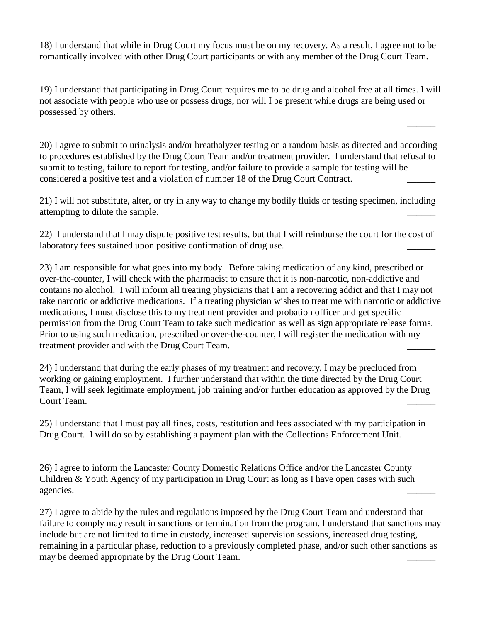18) I understand that while in Drug Court my focus must be on my recovery. As a result, I agree not to be romantically involved with other Drug Court participants or with any member of the Drug Court Team.

 $\overline{a}$ 

 $\overline{\phantom{a}}$ 

 $\overline{\phantom{a}}$ 

19) I understand that participating in Drug Court requires me to be drug and alcohol free at all times. I will not associate with people who use or possess drugs, nor will I be present while drugs are being used or possessed by others.

20) I agree to submit to urinalysis and/or breathalyzer testing on a random basis as directed and according to procedures established by the Drug Court Team and/or treatment provider. I understand that refusal to submit to testing, failure to report for testing, and/or failure to provide a sample for testing will be considered a positive test and a violation of number 18 of the Drug Court Contract.

21) I will not substitute, alter, or try in any way to change my bodily fluids or testing specimen, including attempting to dilute the sample.

22) I understand that I may dispute positive test results, but that I will reimburse the court for the cost of laboratory fees sustained upon positive confirmation of drug use.

23) I am responsible for what goes into my body. Before taking medication of any kind, prescribed or over-the-counter, I will check with the pharmacist to ensure that it is non-narcotic, non-addictive and contains no alcohol. I will inform all treating physicians that I am a recovering addict and that I may not take narcotic or addictive medications. If a treating physician wishes to treat me with narcotic or addictive medications, I must disclose this to my treatment provider and probation officer and get specific permission from the Drug Court Team to take such medication as well as sign appropriate release forms. Prior to using such medication, prescribed or over-the-counter, I will register the medication with my treatment provider and with the Drug Court Team.

24) I understand that during the early phases of my treatment and recovery, I may be precluded from working or gaining employment. I further understand that within the time directed by the Drug Court Team, I will seek legitimate employment, job training and/or further education as approved by the Drug Court Team.

25) I understand that I must pay all fines, costs, restitution and fees associated with my participation in Drug Court. I will do so by establishing a payment plan with the Collections Enforcement Unit.

26) I agree to inform the Lancaster County Domestic Relations Office and/or the Lancaster County Children & Youth Agency of my participation in Drug Court as long as I have open cases with such agencies.

27) I agree to abide by the rules and regulations imposed by the Drug Court Team and understand that failure to comply may result in sanctions or termination from the program. I understand that sanctions may include but are not limited to time in custody, increased supervision sessions, increased drug testing, remaining in a particular phase, reduction to a previously completed phase, and/or such other sanctions as may be deemed appropriate by the Drug Court Team.